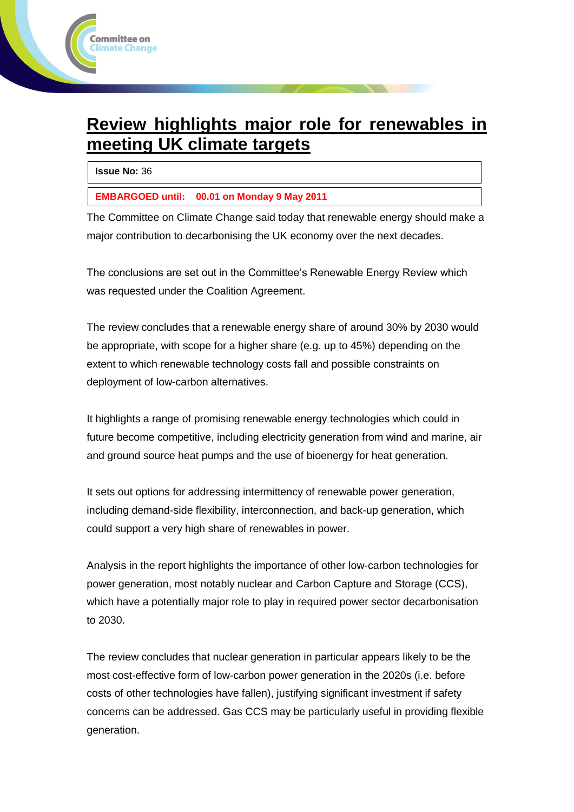# **Review highlights major role for renewables in meeting UK climate targets**

**Issue No:** 36

ommittee on' nate Change

**EMBARGOED until: 00.01 on Monday 9 May 2011**

The Committee on Climate Change said today that renewable energy should make a major contribution to decarbonising the UK economy over the next decades.

The conclusions are set out in the Committee's Renewable Energy Review which was requested under the Coalition Agreement.

The review concludes that a renewable energy share of around 30% by 2030 would be appropriate, with scope for a higher share (e.g. up to 45%) depending on the extent to which renewable technology costs fall and possible constraints on deployment of low-carbon alternatives.

It highlights a range of promising renewable energy technologies which could in future become competitive, including electricity generation from wind and marine, air and ground source heat pumps and the use of bioenergy for heat generation.

It sets out options for addressing intermittency of renewable power generation, including demand-side flexibility, interconnection, and back-up generation, which could support a very high share of renewables in power.

Analysis in the report highlights the importance of other low-carbon technologies for power generation, most notably nuclear and Carbon Capture and Storage (CCS), which have a potentially major role to play in required power sector decarbonisation to 2030.

The review concludes that nuclear generation in particular appears likely to be the most cost-effective form of low-carbon power generation in the 2020s (i.e. before costs of other technologies have fallen), justifying significant investment if safety concerns can be addressed. Gas CCS may be particularly useful in providing flexible generation.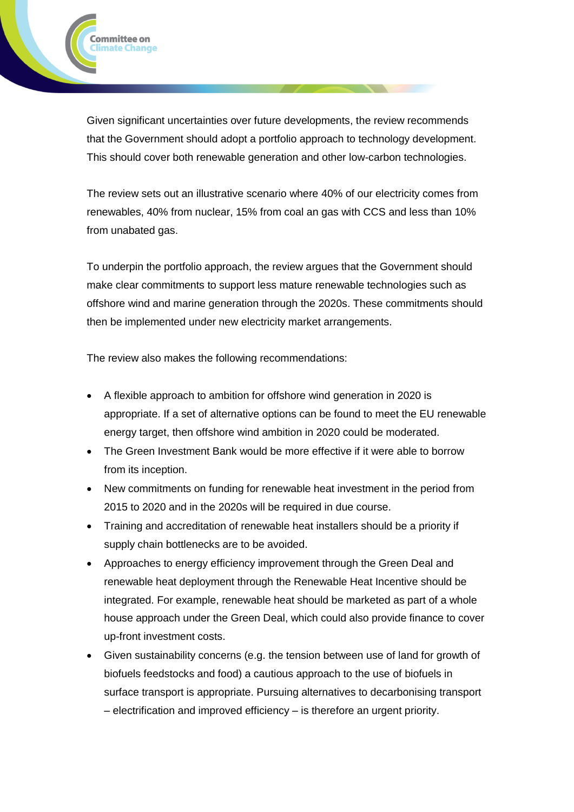Given significant uncertainties over future developments, the review recommends that the Government should adopt a portfolio approach to technology development. This should cover both renewable generation and other low-carbon technologies.

The review sets out an illustrative scenario where 40% of our electricity comes from renewables, 40% from nuclear, 15% from coal an gas with CCS and less than 10% from unabated gas.

To underpin the portfolio approach, the review argues that the Government should make clear commitments to support less mature renewable technologies such as offshore wind and marine generation through the 2020s. These commitments should then be implemented under new electricity market arrangements.

The review also makes the following recommendations:

Committee on limate Change

- A flexible approach to ambition for offshore wind generation in 2020 is appropriate. If a set of alternative options can be found to meet the EU renewable energy target, then offshore wind ambition in 2020 could be moderated.
- The Green Investment Bank would be more effective if it were able to borrow from its inception.
- New commitments on funding for renewable heat investment in the period from 2015 to 2020 and in the 2020s will be required in due course.
- Training and accreditation of renewable heat installers should be a priority if supply chain bottlenecks are to be avoided.
- Approaches to energy efficiency improvement through the Green Deal and renewable heat deployment through the Renewable Heat Incentive should be integrated. For example, renewable heat should be marketed as part of a whole house approach under the Green Deal, which could also provide finance to cover up-front investment costs.
- Given sustainability concerns (e.g. the tension between use of land for growth of biofuels feedstocks and food) a cautious approach to the use of biofuels in surface transport is appropriate. Pursuing alternatives to decarbonising transport – electrification and improved efficiency – is therefore an urgent priority.